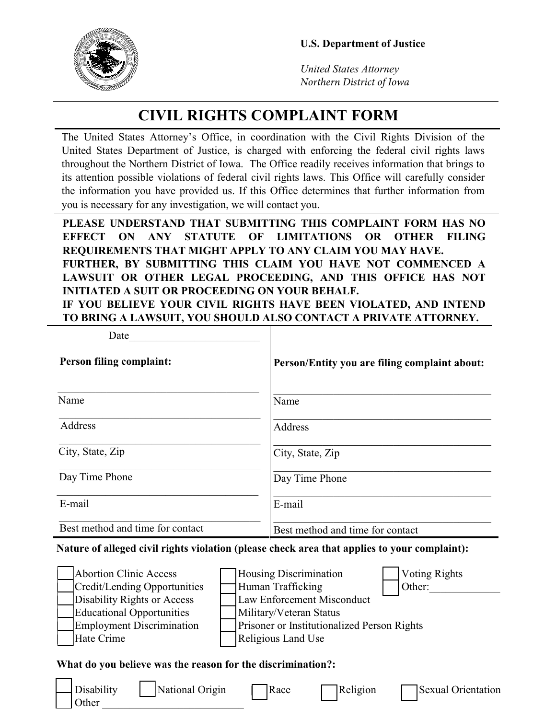

*United States Attorney Northern District of Iowa*

## **CIVIL RIGHTS COMPLAINT FORM**

The United States Attorney's Office, in coordination with the Civil Rights Division of the United States Department of Justice, is charged with enforcing the federal civil rights laws throughout the Northern District of Iowa. The Office readily receives information that brings to its attention possible violations of federal civil rights laws. This Office will carefully consider the information you have provided us. If this Office determines that further information from you is necessary for any investigation, we will contact you.

**PLEASE UNDERSTAND THAT SUBMITTING THIS COMPLAINT FORM HAS NO EFFECT ON ANY STATUTE OF LIMITATIONS OR OTHER FILING REQUIREMENTS THAT MIGHT APPLY TO ANY CLAIM YOU MAY HAVE. FURTHER, BY SUBMITTING THIS CLAIM YOU HAVE NOT COMMENCED A LAWSUIT OR OTHER LEGAL PROCEEDING, AND THIS OFFICE HAS NOT INITIATED A SUIT OR PROCEEDING ON YOUR BEHALF. IF YOU BELIEVE YOUR CIVIL RIGHTS HAVE BEEN VIOLATED, AND INTEND TO BRING A LAWSUIT, YOU SHOULD ALSO CONTACT A PRIVATE ATTORNEY.**

| Date                             |                                               |
|----------------------------------|-----------------------------------------------|
| <b>Person filing complaint:</b>  | Person/Entity you are filing complaint about: |
| Name                             | Name                                          |
| Address                          | Address                                       |
| City, State, Zip                 | City, State, Zip                              |
| Day Time Phone                   | Day Time Phone                                |
| E-mail                           | E-mail                                        |
| Best method and time for contact | Best method and time for contact              |

## **Nature of alleged civil rights violation (please check area that applies to your complaint):**

| Abortion Clinic Access           | <b>Housing Discrimination</b>                      |  | <b>Voting Rights</b> |  |
|----------------------------------|----------------------------------------------------|--|----------------------|--|
| Credit/Lending Opportunities     | Human Trafficking                                  |  | Other:               |  |
| Disability Rights or Access      | <b>Law Enforcement Misconduct</b>                  |  |                      |  |
| Educational Opportunities        | Military/Veteran Status                            |  |                      |  |
| <b>Employment Discrimination</b> | <b>Prisoner or Institutionalized Person Rights</b> |  |                      |  |
| Hate Crime                       | <b>Religious Land Use</b>                          |  |                      |  |

## **What do you believe was the reason for the discrimination?:**

| $\bigcup$ Disability<br>$\vert$ Other | National Origin<br>Race | $\exists$ Religion | Sexual Orientation |
|---------------------------------------|-------------------------|--------------------|--------------------|
|---------------------------------------|-------------------------|--------------------|--------------------|